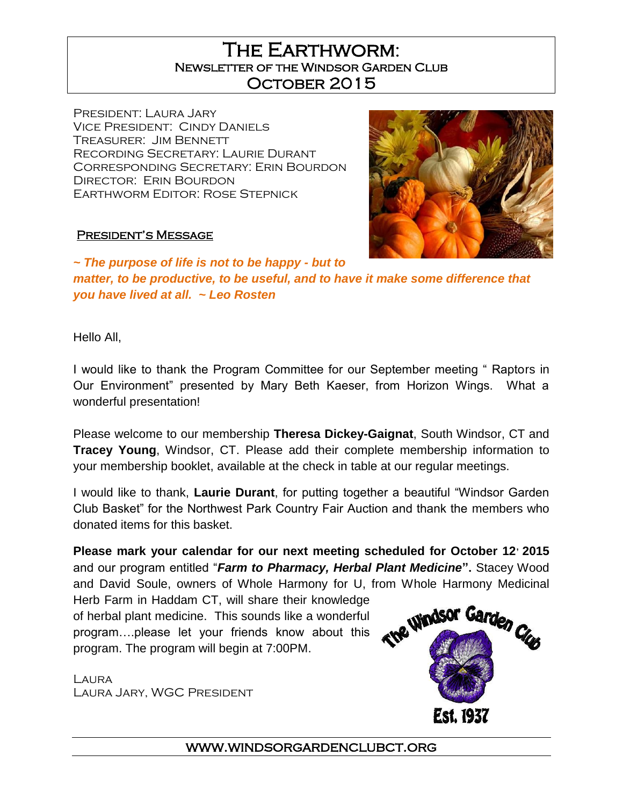# The Earthworm: Newsletter of the Windsor Garden Club October 2015

President: Laura Jary Vice President: Cindy Daniels Treasurer: Jim Bennett Recording Secretary: Laurie Durant Corresponding Secretary: Erin Bourdon Director: Erin Bourdon Earthworm Editor: Rose Stepnick



#### President's Message

*~ The purpose of life is not to be happy - but to matter, to be productive, to be useful, and to have it make some difference that you have lived at all. ~ Leo Rosten*

Hello All,

I would like to thank the Program Committee for our September meeting " Raptors in Our Environment" presented by Mary Beth Kaeser, from Horizon Wings. What a wonderful presentation!

Please welcome to our membership **Theresa Dickey-Gaignat**, South Windsor, CT and **Tracey Young**, Windsor, CT. Please add their complete membership information to your membership booklet, available at the check in table at our regular meetings.

I would like to thank, **Laurie Durant**, for putting together a beautiful "Windsor Garden Club Basket" for the Northwest Park Country Fair Auction and thank the members who donated items for this basket.

**Please mark your calendar for our next meeting scheduled for October 12, 2015**  and our program entitled "*Farm to Pharmacy, Herbal Plant Medicine***".** Stacey Wood and David Soule, owners of Whole Harmony for U, from Whole Harmony Medicinal

Herb Farm in Haddam CT, will share their knowledge of herbal plant medicine. This sounds like a wonderful program….please let your friends know about this program. The program will begin at 7:00PM.

LAURA Laura Jary, WGC President



www.windsorgardenclubct.org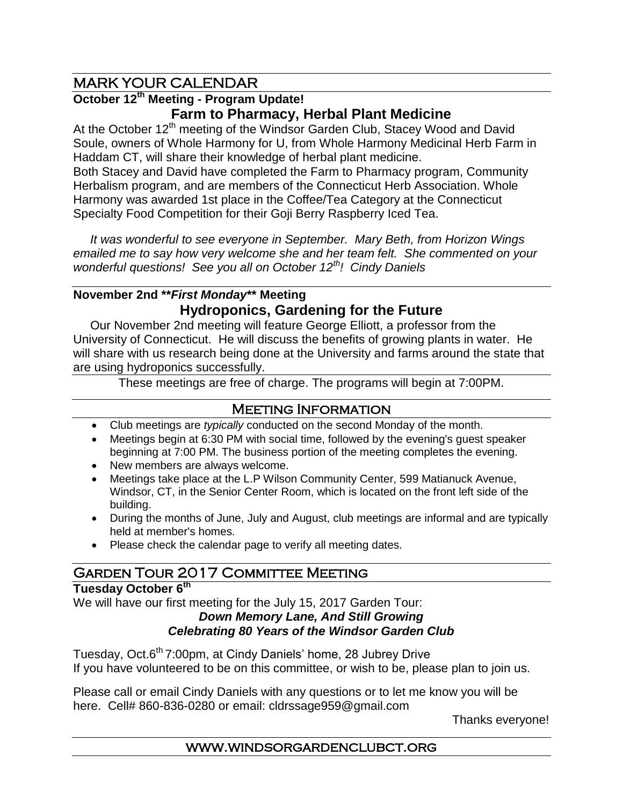## MARK YOUR CALENDAR

## **October 12th Meeting - Program Update! Farm to Pharmacy, Herbal Plant Medicine**

At the October 12<sup>th</sup> meeting of the Windsor Garden Club, Stacey Wood and David Soule, owners of Whole Harmony for U, from Whole Harmony Medicinal Herb Farm in Haddam CT, will share their knowledge of herbal plant medicine.

Both Stacey and David have completed the Farm to Pharmacy program, Community Herbalism program, and are members of the Connecticut Herb Association. Whole Harmony was awarded 1st place in the Coffee/Tea Category at the Connecticut Specialty Food Competition for their Goji Berry Raspberry Iced Tea.

 *It was wonderful to see everyone in September. Mary Beth, from Horizon Wings emailed me to say how very welcome she and her team felt. She commented on your wonderful questions! See you all on October 12th! Cindy Daniels*

## **November 2nd \*\****First Monday***\*\* Meeting Hydroponics, Gardening for the Future**

 Our November 2nd meeting will feature George Elliott, a professor from the University of Connecticut. He will discuss the benefits of growing plants in water. He will share with us research being done at the University and farms around the state that are using hydroponics successfully.

These meetings are free of charge. The programs will begin at 7:00PM.

## Meeting Information

- Club meetings are *typically* conducted on the second Monday of the month.
- Meetings begin at 6:30 PM with social time, followed by the evening's guest speaker beginning at 7:00 PM. The business portion of the meeting completes the evening.
- New members are always welcome.
- Meetings take place at the L.P Wilson Community Center, 599 Matianuck Avenue, Windsor, CT, in the Senior Center Room, which is located on the front left side of the building.
- During the months of June, July and August, club meetings are informal and are typically held at member's homes.
- Please check the calendar page to verify all meeting dates.

# **GARDEN TOUR 2017 COMMITTEE MEETING**

### **Tuesday October 6th**

We will have our first meeting for the July 15, 2017 Garden Tour:

#### *Down Memory Lane, And Still Growing Celebrating 80 Years of the Windsor Garden Club*

Tuesday, Oct.6<sup>th</sup> 7:00pm, at Cindy Daniels' home, 28 Jubrey Drive If you have volunteered to be on this committee, or wish to be, please plan to join us.

Please call or email Cindy Daniels with any questions or to let me know you will be here. Cell# 860-836-0280 or email: [cldrssage959@gmail.com](mailto:cldrssage959@gmail.com)

Thanks everyone!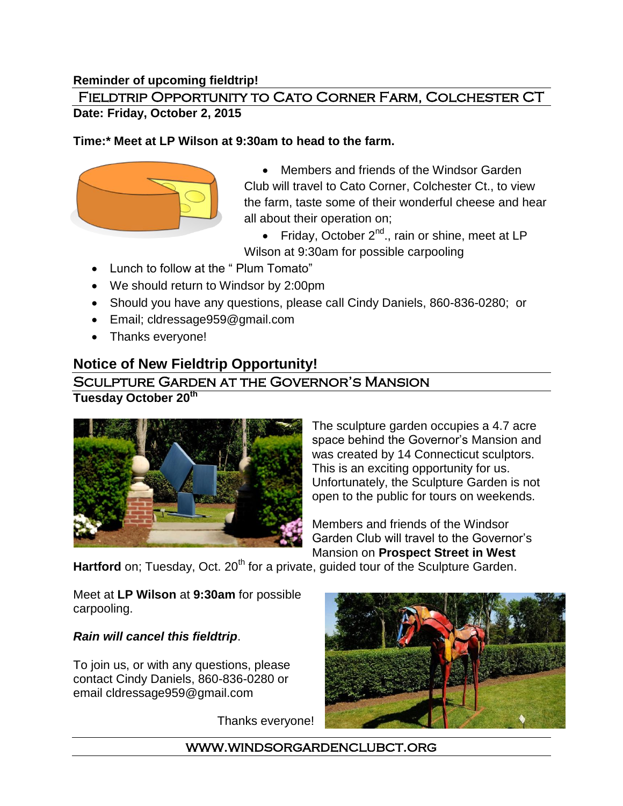#### **Reminder of upcoming fieldtrip!**

### Fieldtrip Opportunity to Cato Corner Farm, Colchester CT **Date: Friday, October 2, 2015**

#### **Time:\* Meet at LP Wilson at 9:30am to head to the farm.**



- Members and friends of the Windsor Garden Club will travel to Cato Corner, Colchester Ct., to view the farm, taste some of their wonderful cheese and hear all about their operation on;
- Friday, October  $2^{nd}$ ., rain or shine, meet at LP Wilson at 9:30am for possible carpooling
- Lunch to follow at the " Plum Tomato"
- We should return to Windsor by 2:00pm
- Should you have any questions, please call Cindy Daniels, 860-836-0280; or
- Email; [cldressage959@gmail.com](mailto:cldressage959@gmail.com)
- Thanks everyone!

# **Notice of New Fieldtrip Opportunity!**

### Sculpture Garden at the Governor's Mansion

**Tuesday October 20th**



The sculpture garden occupies a 4.7 acre space behind the Governor's Mansion and was created by 14 Connecticut sculptors. This is an exciting opportunity for us. Unfortunately, the Sculpture Garden is not open to the public for tours on weekends.

Members and friends of the Windsor Garden Club will travel to the Governor's Mansion on **Prospect Street in West** 

**Hartford** on; Tuesday, Oct. 20<sup>th</sup> for a private, guided tour of the Sculpture Garden.

Meet at **LP Wilson** at **9:30am** for possible carpooling.

#### *Rain will cancel this fieldtrip*.

To join us, or with any questions, please contact Cindy Daniels, 860-836-0280 or email cldressage959@gmail.com

Thanks everyone!



www.windsorgardenclubct.org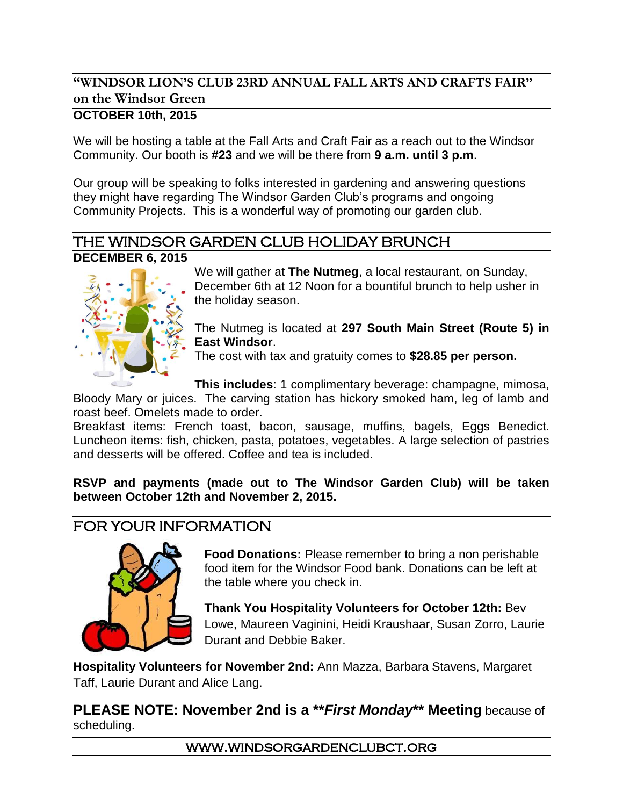# **"WINDSOR LION'S CLUB 23RD ANNUAL FALL ARTS AND CRAFTS FAIR" on the Windsor Green**

## **OCTOBER 10th, 2015**

We will be hosting a table at the Fall Arts and Craft Fair as a reach out to the Windsor Community. Our booth is **#23** and we will be there from **9 a.m. until 3 p.m**.

Our group will be speaking to folks interested in gardening and answering questions they might have regarding The Windsor Garden Club's programs and ongoing Community Projects. This is a wonderful way of promoting our garden club.

### THE WINDSOR GARDEN CLUB HOLIDAY BRUNCH **DECEMBER 6, 2015**



We will gather at **The Nutmeg**, a local restaurant, on Sunday, December 6th at 12 Noon for a bountiful brunch to help usher in the holiday season.

#### The Nutmeg is located at **297 South Main Street (Route 5) in East Windsor**.

The cost with tax and gratuity comes to **\$28.85 per person.**

**This includes**: 1 complimentary beverage: champagne, mimosa,

Bloody Mary or juices. The carving station has hickory smoked ham, leg of lamb and roast beef. Omelets made to order.

Breakfast items: French toast, bacon, sausage, muffins, bagels, Eggs Benedict. Luncheon items: fish, chicken, pasta, potatoes, vegetables. A large selection of pastries and desserts will be offered. Coffee and tea is included.

**RSVP and payments (made out to The Windsor Garden Club) will be taken between October 12th and November 2, 2015.**

# FOR YOUR INFORMATION



**Food Donations:** Please remember to bring a non perishable food item for the Windsor Food bank. Donations can be left at the table where you check in.

**Thank You Hospitality Volunteers for October 12th:** Bev Lowe, Maureen Vaginini, Heidi Kraushaar, Susan Zorro, Laurie Durant and Debbie Baker.

**Hospitality Volunteers for November 2nd:** Ann Mazza, Barbara Stavens, Margaret Taff, Laurie Durant and Alice Lang.

## **PLEASE NOTE: November 2nd is a \*\****First Monday***\*\* Meeting** because of scheduling.

www.windsorgardenclubct.org